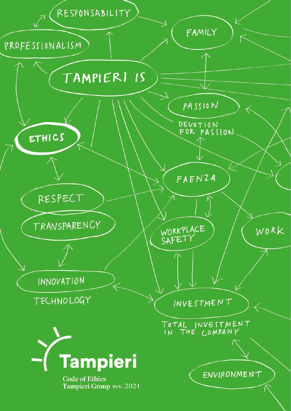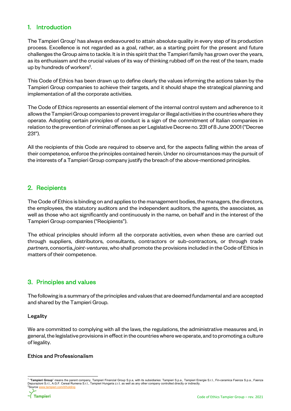# 1. Introduction

The Tampieri Group<sup>1</sup> has always endeavoured to attain absolute quality in every step of its production process. Excellence is not regarded as a goal, rather, as a starting point for the present and future challenges the Group aims to tackle. It is in this spirit that the Tampieri family has grown over the years, as its enthusiasm and the crucial values of its way of thinking rubbed off on the rest of the team, made up by hundreds of workers<sup>2</sup>.

This Code of Ethics has been drawn up to define clearly the values informing the actions taken by the Tampieri Group companies to achieve their targets, and it should shape the strategical planning and implementation of all the corporate activities.

The Code of Ethics represents an essential element of the internal control system and adherence to it allows the Tampieri Group companies to prevent irregular or illegal activities in the countries where they operate. Adopting certain principles of conduct is a sign of the commitment of Italian companies in relation to the prevention of criminal offenses as per Legislative Decree no. 231 of 8 June 2001 ("Decree 231").

All the recipients of this Code are required to observe and, for the aspects falling within the areas of their competence, enforce the principles contained herein. Under no circumstances may the pursuit of the interests of a Tampieri Group company justify the breach of the above-mentioned principles.

# 2. Recipients

The Code of Ethics is binding on and applies to the management bodies, the managers, the directors, the employees, the statutory auditors and the independent auditors, the agents, the associates, as well as those who act significantly and continuously in the name, on behalf and in the interest of the Tampieri Group companies ("Recipients").

The ethical principles should inform all the corporate activities, even when these are carried out through suppliers, distributors, consultants, contractors or sub-contractors, or through trade partners, consortia, joint-ventures, who shall promote the provisions included in the Code of Ethics in matters of their competence.

# 3. Principles and values

The following is a summary of the principles and values that are deemed fundamental and are accepted and shared by the Tampieri Group.

## Legality

We are committed to complying with all the laws, the regulations, the administrative measures and, in general, the legislative provisions in effect in the countries where we operate, and to promoting a culture of legality.

# Ethics and Professionalism

<sup>-</sup><sup>1</sup> "**Tampieri Group**" means the parent company, Tampieri Financial Group S.p.a, with its subsidiaries: Tampieri S.p.a., Tampieri Energie S.r.l., Fin-ceramica Faenza S.p.a., Faenza<br>Depurazioni S.r.l., A.G.F. Cereal Rumena <sup>2</sup>Source www.tampieri.com/it/holding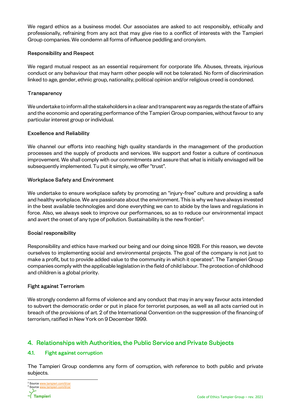We regard ethics as a business model. Our associates are asked to act responsibly, ethically and professionally, refraining from any act that may give rise to a conflict of interests with the Tampieri Group companies. We condemn all forms of influence peddling and cronyism.

## Responsibility and Respect

We regard mutual respect as an essential requirement for corporate life. Abuses, threats, injurious conduct or any behaviour that may harm other people will not be tolerated. No form of discrimination linked to age, gender, ethnic group, nationality, political opinion and/or religious creed is condoned.

# **Transparency**

We undertake to inform all the stakeholders in a clear and transparent way as regards the state of affairs and the economic and operating performance of the Tampieri Group companies, without favour to any particular interest group or individual.

# Excellence and Reliability

We channel our efforts into reaching high quality standards in the management of the production processes and the supply of products and services. We support and foster a culture of continuous improvement. We shall comply with our commitments and assure that what is initially envisaged will be subsequently implemented. Tu put it simply, we offer "trust".

# Workplace Safety and Environment

We undertake to ensure workplace safety by promoting an "injury-free" culture and providing a safe and healthy workplace. We are passionate about the environment. This is why we have always invested in the best available technologies and done everything we can to abide by the laws and regulations in force. Also, we always seek to improve our performances, so as to reduce our environmental impact and avert the onset of any type of pollution. Sustainability is the new frontier $^3$ .

## Social responsibility

Responsibility and ethics have marked our being and our doing since 1928. For this reason, we devote ourselves to implementing social and environmental projects. The goal of the company is not just to make a profit, but to provide added value to the community in which it operates $^4$ . The Tampieri Group companies comply with the applicable legislation in the field of child labour. The protection of childhood and children is a global priority.

## Fight against Terrorism

We strongly condemn all forms of violence and any conduct that may in any way favour acts intended to subvert the democratic order or put in place for terrorist purposes, as well as all acts carried out in breach of the provisions of art. 2 of the International Convention on the suppression of the financing of terrorism, ratified in New York on 9 December 1999.

# 4. Relationships with Authorities, the Public Service and Private Subjects

# 4.1. Fight against corruption

The Tampieri Group condemns any form of corruption, with reference to both public and private subjects.

-

<sup>&</sup>lt;sup>3</sup> Source www.tampieri.com/it/csr <sup>4</sup> Source www.tampieri.com/it/csr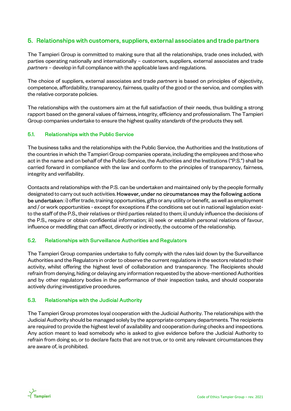# 5. Relationships with customers, suppliers, external associates and trade partners

The Tampieri Group is committed to making sure that all the relationships, trade ones included, with parties operating nationally and internationally – customers, suppliers, external associates and trade partners – develop in full compliance with the applicable laws and regulations.

The choice of suppliers, external associates and trade *partners* is based on principles of objectivity, competence, affordability, transparency, fairness, quality of the good or the service, and complies with the relative corporate policies.

The relationships with the customers aim at the full satisfaction of their needs, thus building a strong rapport based on the general values of fairness, integrity, efficiency and professionalism. The Tampieri Group companies undertake to ensure the highest quality standards of the products they sell.

## 5.1. Relationships with the Public Service

The business talks and the relationships with the Public Service, the Authorities and the Institutions of the countries in which the Tampieri Group companies operate, including the employees and those who act in the name and on behalf of the Public Service, the Authorities and the Institutions ("P.S.") shall be carried forward in compliance with the law and conform to the principles of transparency, fairness, integrity and verifiability.

Contacts and relationships with the P.S. can be undertaken and maintained only by the people formally designated to carry out such activities. However, under no circumstances may the following actions be undertaken: i) offer trade, training opportunities, gifts or any utility or benefit, as well as employment and / or work opportunities - except for exceptions if the conditions set out in national legislation existto the staff of the P.S., their relatives or third parties related to them; ii) unduly influence the decisions of the P.S., require or obtain confidential information; iii) seek or establish personal relations of favour, influence or meddling that can affect, directly or indirectly, the outcome of the relationship.

#### 5.2. Relationships with Surveillance Authorities and Regulators

The Tampieri Group companies undertake to fully comply with the rules laid down by the Surveillance Authorities and the Regulators in order to observe the current regulations in the sectors related to their activity, whilst offering the highest level of collaboration and transparency. The Recipients should refrain from denying, hiding or delaying any information requested by the above-mentioned Authorities and by other regulatory bodies in the performance of their inspection tasks, and should cooperate actively during investigative procedures.

## 5.3. Relationships with the Judicial Authority

The Tampieri Group promotes loyal cooperation with the Judicial Authority. The relationships with the Judicial Authority should be managed solely by the appropriate company departments. The recipients are required to provide the highest level of availability and cooperation during checks and inspections. Any action meant to lead somebody who is asked to give evidence before the Judicial Authority to refrain from doing so, or to declare facts that are not true, or to omit any relevant circumstances they are aware of, is prohibited.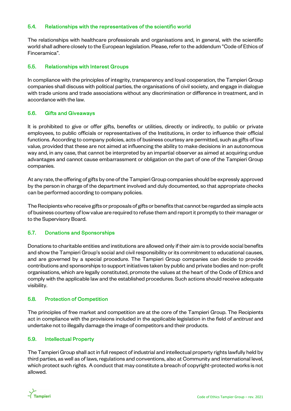### 5.4. Relationships with the representatives of the scientific world

The relationships with healthcare professionals and organisations and, in general, with the scientific world shall adhere closely to the European legislation. Please, refer to the addendum "Code of Ethics of Finceramica".

## 5.5. Relationships with Interest Groups

In compliance with the principles of integrity, transparency and loyal cooperation, the Tampieri Group companies shall discuss with political parties, the organisations of civil society, and engage in dialogue with trade unions and trade associations without any discrimination or difference in treatment, and in accordance with the law.

# 5.6. Gifts and Giveaways

It is prohibited to give or offer gifts, benefits or utilities, directly or indirectly, to public or private employees, to public officials or representatives of the Institutions, in order to influence their official functions. According to company policies, acts of business courtesy are permitted, such as gifts of low value, provided that these are not aimed at influencing the ability to make decisions in an autonomous way and, in any case, that cannot be interpreted by an impartial observer as aimed at acquiring undue advantages and cannot cause embarrassment or obligation on the part of one of the Tampieri Group companies.

At any rate, the offering of gifts by one of the Tampieri Group companies should be expressly approved by the person in charge of the department involved and duly documented, so that appropriate checks can be performed according to company policies.

The Recipients who receive gifts or proposals of gifts or benefits that cannot be regarded as simple acts of business courtesy of low value are required to refuse them and report it promptly to their manager or to the Supervisory Board.

## 5.7. Donations and Sponsorships

Donations to charitable entities and institutions are allowed only if their aim is to provide social benefits and show the Tampieri Group's social and civil responsibility or its commitment to educational causes, and are governed by a special procedure. The Tampieri Group companies can decide to provide contributions and sponsorships to support initiatives taken by public and private bodies and non-profit organisations, which are legally constituted, promote the values at the heart of the Code of Ethics and comply with the applicable law and the established procedures. Such actions should receive adequate visibility.

# 5.8. Protection of Competition

The principles of free market and competition are at the core of the Tampieri Group. The Recipients act in compliance with the provisions included in the applicable legislation in the field of antitrust and undertake not to illegally damage the image of competitors and their products.

# 5.9. Intellectual Property

The Tampieri Group shall act in full respect of industrial and intellectual property rights lawfully held by third parties, as well as of laws, regulations and conventions, also at Community and international level, which protect such rights. A conduct that may constitute a breach of copyright-protected works is not allowed.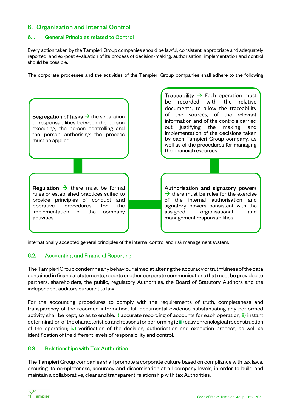# 6. Organization and Internal Control

## 6.1. General Principles related to Control

Every action taken by the Tampieri Group companies should be lawful, consistent, appropriate and adequately reported, and ex-post evaluation of its process of decision-making, authorisation, implementation and control should be possible.

The corporate processes and the activities of the Tampieri Group companies shall adhere to the following



internationally accepted general principles of the internal control and risk management system.

# 6.2. Accounting and Financial Reporting

The Tampieri Group condemns any behaviour aimed at altering the accuracy or truthfulness of the data contained in financial statements, reports or other corporate communications that must be provided to partners, shareholders, the public, regulatory Authorities, the Board of Statutory Auditors and the independent auditors pursuant to law.

For the accounting procedures to comply with the requirements of truth, completeness and transparency of the recorded information, full documental evidence substantiating any performed activity shall be kept, so as to enable: i) accurate recording of accounts for each operation; ii) instant determination of the characteristics and reasons for performing it; iii) easy chronological reconstruction of the operation; iv) verification of the decision, authorisation and execution process, as well as identification of the different levels of responsibility and control.

## 6.3. Relationships with Tax Authorities

The Tampieri Group companies shall promote a corporate culture based on compliance with tax laws, ensuring its completeness, accuracy and dissemination at all company levels, in order to build and maintain a collaborative, clear and transparent relationship with tax Authorities.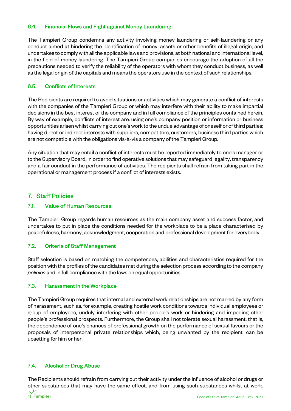### 6.4. Financial Flows and Fight against Money Laundering

The Tampieri Group condemns any activity involving money laundering or self-laundering or any conduct aimed at hindering the identification of money, assets or other benefits of illegal origin, and undertakes to comply with all the applicable laws and provisions, at both national and international level, in the field of money laundering. The Tampieri Group companies encourage the adoption of all the precautions needed to verify the reliability of the operators with whom they conduct business, as well as the legal origin of the capitals and means the operators use in the context of such relationships.

## 6.5. Conflicts of Interests

The Recipients are required to avoid situations or activities which may generate a conflict of interests with the companies of the Tampieri Group or which may interfere with their ability to make impartial decisions in the best interest of the company and in full compliance of the principles contained herein. By way of example, conflicts of interest are: using one's company position or information or business opportunities arisen whilst carrying out one's work to the undue advantage of oneself or of third parties; having direct or indirect interests with suppliers, competitors, customers, business third parties which are not compatible with the obligations vis-à-vis a company of the Tampieri Group.

Any situation that may entail a conflict of interests must be reported immediately to one's manager or to the Supervisory Board, in order to find operative solutions that may safeguard legality, transparency and a fair conduct in the performance of activities. The recipients shall refrain from taking part in the operational or management process if a conflict of interests exists.

# 7. Staff Policies

### 7.1. Value of Human Resources

The Tampieri Group regards human resources as the main company asset and success factor, and undertakes to put in place the conditions needed for the workplace to be a place characterised by peacefulness, harmony, acknowledgment, cooperation and professional development for everybody.

## 7.2. Criteria of Staff Management

Staff selection is based on matching the competences, abilities and characteristics required for the position with the profiles of the candidates met during the selection process according to the company policies and in full compliance with the laws on equal opportunities.

#### 7.3. Harassment in the Workplace

The Tampieri Group requires that internal and external work relationships are not marred by any form of harassment, such as, for example, creating hostile work conditions towards individual employees or group of employees, unduly interfering with other people's work or hindering and impeding other people's professional prospects. Furthermore, the Group shall not tolerate sexual harassment, that is, the dependence of one's chances of professional growth on the performance of sexual favours or the proposals of interpersonal private relationships which, being unwanted by the recipient, can be upsetting for him or her.

## 7.4. Alcohol or Drug Abuse

The Recipients should refrain from carrying out their activity under the influence of alcohol or drugs or other substances that may have the same effect, and from using such substances whilst at work.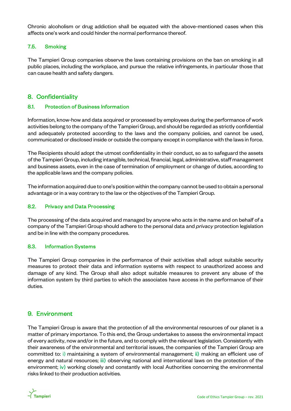Chronic alcoholism or drug addiction shall be equated with the above-mentioned cases when this affects one's work and could hinder the normal performance thereof.

# 7.5. Smoking

The Tampieri Group companies observe the laws containing provisions on the ban on smoking in all public places, including the workplace, and pursue the relative infringements, in particular those that can cause health and safety dangers.

# 8. Confidentiality

## 8.1. Protection of Business Information

Information, know-how and data acquired or processed by employees during the performance of work activities belong to the company of the Tampieri Group, and should be regarded as strictly confidential and adequately protected according to the laws and the company policies, and cannot be used, communicated or disclosed inside or outside the company except in compliance with the laws in force.

The Recipients should adopt the utmost confidentiality in their conduct, so as to safeguard the assets of the Tampieri Group, including intangible, technical, financial, legal, administrative, staff management and business assets, even in the case of termination of employment or change of duties, according to the applicable laws and the company policies.

The information acquired due to one's position within the company cannot be used to obtain a personal advantage or in a way contrary to the law or the objectives of the Tampieri Group.

### 8.2. Privacy and Data Processing

The processing of the data acquired and managed by anyone who acts in the name and on behalf of a company of the Tampieri Group should adhere to the personal data and privacy protection legislation and be in line with the company procedures.

#### 8.3. Information Systems

The Tampieri Group companies in the performance of their activities shall adopt suitable security measures to protect their data and information systems with respect to unauthorized access and damage of any kind. The Group shall also adopt suitable measures to prevent any abuse of the information system by third parties to which the associates have access in the performance of their duties.

# 9. Environment

The Tampieri Group is aware that the protection of all the environmental resources of our planet is a matter of primary importance. To this end, the Group undertakes to assess the environmental impact of every activity, now and/or in the future, and to comply with the relevant legislation. Consistently with their awareness of the environmental and territorial issues, the companies of the Tampieri Group are committed to: i) maintaining a system of environmental management; ii) making an efficient use of energy and natural resources; iii) observing national and international laws on the protection of the environment;  $\dot{v}$ ) working closely and constantly with local Authorities concerning the environmental risks linked to their production activities.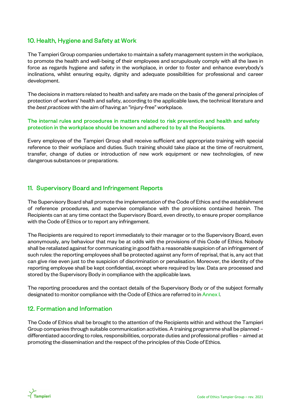# 10. Health, Hygiene and Safety at Work

The Tampieri Group companies undertake to maintain a safety management system in the workplace, to promote the health and well-being of their employees and scrupulously comply with all the laws in force as regards hygiene and safety in the workplace, in order to foster and enhance everybody's inclinations, whilst ensuring equity, dignity and adequate possibilities for professional and career development.

The decisions in matters related to health and safety are made on the basis of the general principles of protection of workers' health and safety, according to the applicable laws, the technical literature and the best practices with the aim of having an "injury-free" workplace.

## The internal rules and procedures in matters related to risk prevention and health and safety protection in the workplace should be known and adhered to by all the Recipients.

Every employee of the Tampieri Group shall receive sufficient and appropriate training with special reference to their workplace and duties. Such training should take place at the time of recruitment, transfer, change of duties or introduction of new work equipment or new technologies, of new dangerous substances or preparations.

# 11. Supervisory Board and Infringement Reports

The Supervisory Board shall promote the implementation of the Code of Ethics and the establishment of reference procedures, and supervise compliance with the provisions contained herein. The Recipients can at any time contact the Supervisory Board, even directly, to ensure proper compliance with the Code of Ethics or to report any infringement.

The Recipients are required to report immediately to their manager or to the Supervisory Board, even anonymously, any behaviour that may be at odds with the provisions of this Code of Ethics. Nobody shall be retaliated against for communicating in good faith a reasonable suspicion of an infringement of such rules: the reporting employees shall be protected against any form of reprisal, that is, any act that can give rise even just to the suspicion of discrimination or penalisation. Moreover, the identity of the reporting employee shall be kept confidential, except where required by law. Data are processed and stored by the Supervisory Body in compliance with the applicable laws.

The reporting procedures and the contact details of the Supervisory Body or of the subject formally designated to monitor compliance with the Code of Ethics are referred to in Annex I.

# 12. Formation and Information

The Code of Ethics shall be brought to the attention of the Recipients within and without the Tampieri Group companies through suitable communication activities. A training programme shall be planned – differentiated according to roles, responsibilities, corporate duties and professional profiles – aimed at promoting the dissemination and the respect of the principles of this Code of Ethics.

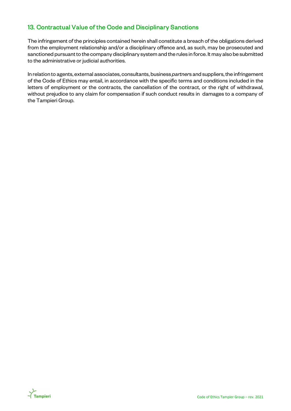# 13. Contractual Value of the Code and Disciplinary Sanctions

The infringement of the principles contained herein shall constitute a breach of the obligations derived from the employment relationship and/or a disciplinary offence and, as such, may be prosecuted and sanctioned pursuant to the company disciplinary system and the rules in force. It may also be submitted to the administrative or judicial authorities.

In relation to agents, external associates, consultants, business partners and suppliers, the infringement of the Code of Ethics may entail, in accordance with the specific terms and conditions included in the letters of employment or the contracts, the cancellation of the contract, or the right of withdrawal, without prejudice to any claim for compensation if such conduct results in damages to a company of the Tampieri Group.